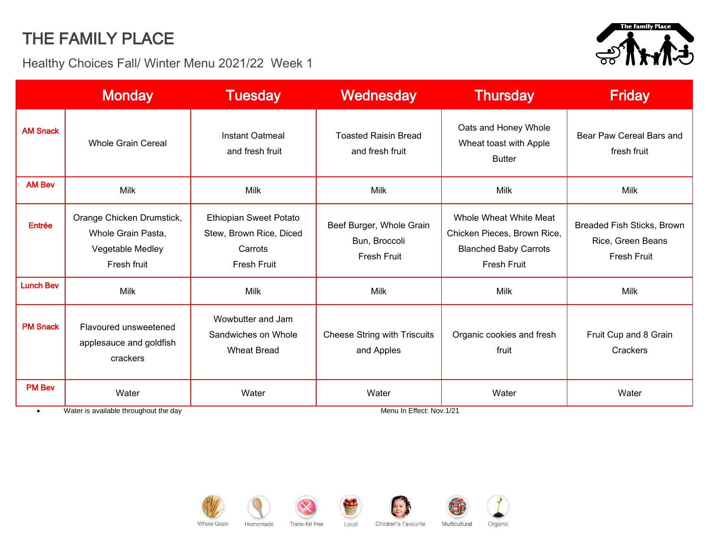Healthy Choices Fall/ Winter Menu 2021/22 Week 1



|                  | <b>Monday</b>                                                                      | <b>Tuesday</b>                                                              | Wednesday                                                | <b>Thursday</b>                                                                                      | <b>Friday</b>                                                  |
|------------------|------------------------------------------------------------------------------------|-----------------------------------------------------------------------------|----------------------------------------------------------|------------------------------------------------------------------------------------------------------|----------------------------------------------------------------|
| <b>AM Snack</b>  | <b>Whole Grain Cereal</b>                                                          | <b>Instant Oatmeal</b><br>and fresh fruit                                   | <b>Toasted Raisin Bread</b><br>and fresh fruit           | Oats and Honey Whole<br>Wheat toast with Apple<br><b>Butter</b>                                      | Bear Paw Cereal Bars and<br>fresh fruit                        |
| <b>AM Bev</b>    | <b>Milk</b>                                                                        | <b>Milk</b>                                                                 | Milk                                                     | <b>Milk</b>                                                                                          | <b>Milk</b>                                                    |
| Entrée           | Orange Chicken Drumstick,<br>Whole Grain Pasta,<br>Vegetable Medley<br>Fresh fruit | Ethiopian Sweet Potato<br>Stew, Brown Rice, Diced<br>Carrots<br>Fresh Fruit | Beef Burger, Whole Grain<br>Bun, Broccoli<br>Fresh Fruit | Whole Wheat White Meat<br>Chicken Pieces, Brown Rice,<br><b>Blanched Baby Carrots</b><br>Fresh Fruit | Breaded Fish Sticks, Brown<br>Rice, Green Beans<br>Fresh Fruit |
| <b>Lunch Bev</b> | <b>Milk</b>                                                                        | <b>Milk</b>                                                                 | Milk                                                     | Milk                                                                                                 | <b>Milk</b>                                                    |
| <b>PM Snack</b>  | Flavoured unsweetened<br>applesauce and goldfish<br>crackers                       | Wowbutter and Jam<br>Sandwiches on Whole<br><b>Wheat Bread</b>              | <b>Cheese String with Triscuits</b><br>and Apples        | Organic cookies and fresh<br>fruit                                                                   | Fruit Cup and 8 Grain<br>Crackers                              |
| <b>PM Bev</b>    | Water                                                                              | Water                                                                       | Water                                                    | Water                                                                                                | Water                                                          |
| $\bullet$        | Water is available throughout the day                                              | Menu In Effect: Nov.1/21                                                    |                                                          |                                                                                                      |                                                                |







Local







Children's Favourite

Multicultural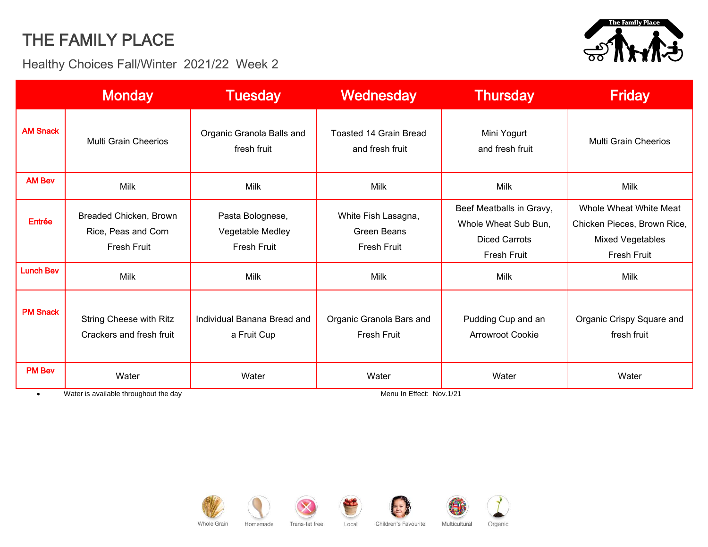**The Family Place** <del>್</del>ಯ

Healthy Choices Fall/Winter 2021/22 Week 2

|                  | <b>Monday</b>                                                     | <b>Tuesday</b>                                      | Wednesday                                                | <b>Thursday</b>                                                                         | <b>Friday</b>                                                                                   |
|------------------|-------------------------------------------------------------------|-----------------------------------------------------|----------------------------------------------------------|-----------------------------------------------------------------------------------------|-------------------------------------------------------------------------------------------------|
| <b>AM Snack</b>  | <b>Multi Grain Cheerios</b>                                       | Organic Granola Balls and<br>fresh fruit            | <b>Toasted 14 Grain Bread</b><br>and fresh fruit         | Mini Yogurt<br>and fresh fruit                                                          | <b>Multi Grain Cheerios</b>                                                                     |
| <b>AM Bev</b>    | Milk                                                              | <b>Milk</b>                                         | <b>Milk</b>                                              | Milk                                                                                    | <b>Milk</b>                                                                                     |
| <b>Entrée</b>    | Breaded Chicken, Brown<br>Rice, Peas and Corn<br>Fresh Fruit      | Pasta Bolognese,<br>Vegetable Medley<br>Fresh Fruit | White Fish Lasagna,<br><b>Green Beans</b><br>Fresh Fruit | Beef Meatballs in Gravy,<br>Whole Wheat Sub Bun,<br><b>Diced Carrots</b><br>Fresh Fruit | Whole Wheat White Meat<br>Chicken Pieces, Brown Rice,<br><b>Mixed Vegetables</b><br>Fresh Fruit |
| <b>Lunch Bev</b> | Milk                                                              | <b>Milk</b>                                         | Milk                                                     | <b>Milk</b>                                                                             | Milk                                                                                            |
| <b>PM Snack</b>  | String Cheese with Ritz<br>Crackers and fresh fruit               | Individual Banana Bread and<br>a Fruit Cup          | Organic Granola Bars and<br>Fresh Fruit                  | Pudding Cup and an<br><b>Arrowroot Cookie</b>                                           | Organic Crispy Square and<br>fresh fruit                                                        |
| <b>PM Bev</b>    | Water                                                             | Water                                               | Water                                                    | Water                                                                                   | Water                                                                                           |
| $\bullet$        | Menu In Effect: Nov.1/21<br>Water is available throughout the day |                                                     |                                                          |                                                                                         |                                                                                                 |







Children's Favourite Local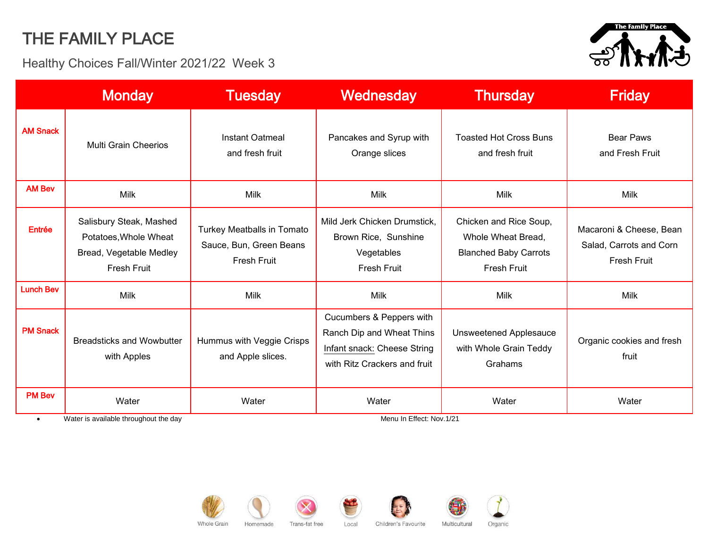Healthy Choices Fall/Winter 2021/22 Week 3



|                  | <b>Monday</b>                                                                                     | <b>Tuesday</b>                                                       | Wednesday                                                                                                            | <b>Thursday</b>                                                                                    | <b>Friday</b>                                                     |  |
|------------------|---------------------------------------------------------------------------------------------------|----------------------------------------------------------------------|----------------------------------------------------------------------------------------------------------------------|----------------------------------------------------------------------------------------------------|-------------------------------------------------------------------|--|
| <b>AM Snack</b>  | <b>Multi Grain Cheerios</b>                                                                       | <b>Instant Oatmeal</b><br>and fresh fruit                            | Pancakes and Syrup with<br>Orange slices                                                                             | <b>Toasted Hot Cross Buns</b><br>and fresh fruit                                                   | <b>Bear Paws</b><br>and Fresh Fruit                               |  |
| <b>AM Bev</b>    | Milk                                                                                              | <b>Milk</b>                                                          | Milk                                                                                                                 | Milk                                                                                               | <b>Milk</b>                                                       |  |
| Entrée           | Salisbury Steak, Mashed<br>Potatoes, Whole Wheat<br>Bread, Vegetable Medley<br><b>Fresh Fruit</b> | Turkey Meatballs in Tomato<br>Sauce, Bun, Green Beans<br>Fresh Fruit | Mild Jerk Chicken Drumstick,<br>Brown Rice, Sunshine<br>Vegetables<br>Fresh Fruit                                    | Chicken and Rice Soup,<br>Whole Wheat Bread,<br><b>Blanched Baby Carrots</b><br><b>Fresh Fruit</b> | Macaroni & Cheese, Bean<br>Salad, Carrots and Corn<br>Fresh Fruit |  |
| <b>Lunch Bev</b> | Milk                                                                                              | <b>Milk</b>                                                          | <b>Milk</b>                                                                                                          | Milk                                                                                               | <b>Milk</b>                                                       |  |
| <b>PM Snack</b>  | <b>Breadsticks and Wowbutter</b><br>with Apples                                                   | Hummus with Veggie Crisps<br>and Apple slices.                       | Cucumbers & Peppers with<br>Ranch Dip and Wheat Thins<br>Infant snack: Cheese String<br>with Ritz Crackers and fruit | Unsweetened Applesauce<br>with Whole Grain Teddy<br>Grahams                                        | Organic cookies and fresh<br>fruit                                |  |
| <b>PM Bev</b>    | Water                                                                                             | Water                                                                | Water                                                                                                                | Water                                                                                              | Water                                                             |  |
| $\bullet$        | Water is available throughout the day                                                             | Menu In Effect: Nov.1/21                                             |                                                                                                                      |                                                                                                    |                                                                   |  |







Multicultural

Organic